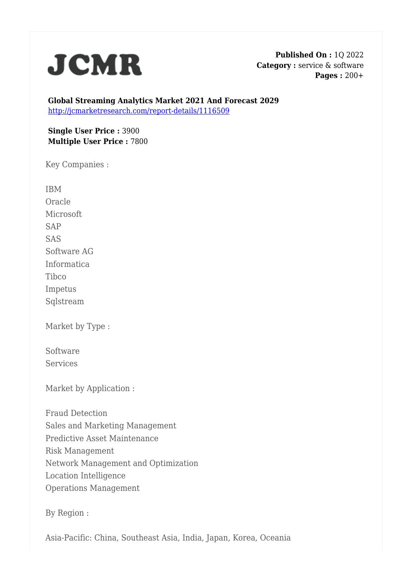

**Published On :** 1Q 2022 **Category :** service & software **Pages :** 200+

**Global Streaming Analytics Market 2021 And Forecast 2029** <http://jcmarketresearch.com/report-details/1116509>

**Single User Price :** 3900 **Multiple User Price :** 7800

Key Companies :

IBM Oracle Microsoft SAP SAS Software AG Informatica Tibco Impetus Sqlstream

Market by Type :

Software **Services** 

Market by Application :

Fraud Detection Sales and Marketing Management Predictive Asset Maintenance Risk Management Network Management and Optimization Location Intelligence Operations Management

By Region :

Asia-Pacific: China, Southeast Asia, India, Japan, Korea, Oceania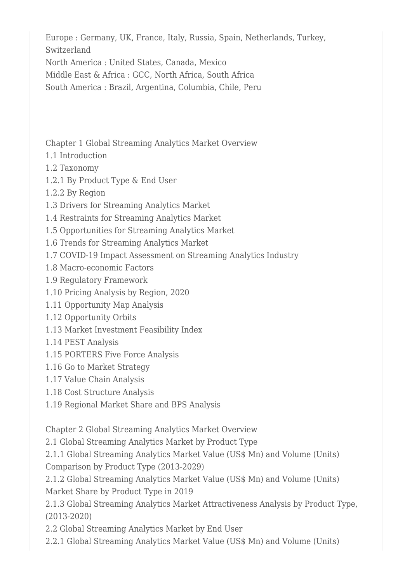Europe : Germany, UK, France, Italy, Russia, Spain, Netherlands, Turkey, Switzerland

North America : United States, Canada, Mexico

Middle East & Africa : GCC, North Africa, South Africa

South America : Brazil, Argentina, Columbia, Chile, Peru

Chapter 1 Global Streaming Analytics Market Overview

- 1.1 Introduction
- 1.2 Taxonomy
- 1.2.1 By Product Type & End User
- 1.2.2 By Region
- 1.3 Drivers for Streaming Analytics Market
- 1.4 Restraints for Streaming Analytics Market
- 1.5 Opportunities for Streaming Analytics Market
- 1.6 Trends for Streaming Analytics Market
- 1.7 COVID-19 Impact Assessment on Streaming Analytics Industry
- 1.8 Macro-economic Factors
- 1.9 Regulatory Framework
- 1.10 Pricing Analysis by Region, 2020
- 1.11 Opportunity Map Analysis
- 1.12 Opportunity Orbits
- 1.13 Market Investment Feasibility Index
- 1.14 PEST Analysis
- 1.15 PORTERS Five Force Analysis
- 1.16 Go to Market Strategy
- 1.17 Value Chain Analysis
- 1.18 Cost Structure Analysis
- 1.19 Regional Market Share and BPS Analysis

Chapter 2 Global Streaming Analytics Market Overview

2.1 Global Streaming Analytics Market by Product Type

2.1.1 Global Streaming Analytics Market Value (US\$ Mn) and Volume (Units) Comparison by Product Type (2013-2029)

2.1.2 Global Streaming Analytics Market Value (US\$ Mn) and Volume (Units) Market Share by Product Type in 2019

2.1.3 Global Streaming Analytics Market Attractiveness Analysis by Product Type, (2013-2020)

2.2 Global Streaming Analytics Market by End User

2.2.1 Global Streaming Analytics Market Value (US\$ Mn) and Volume (Units)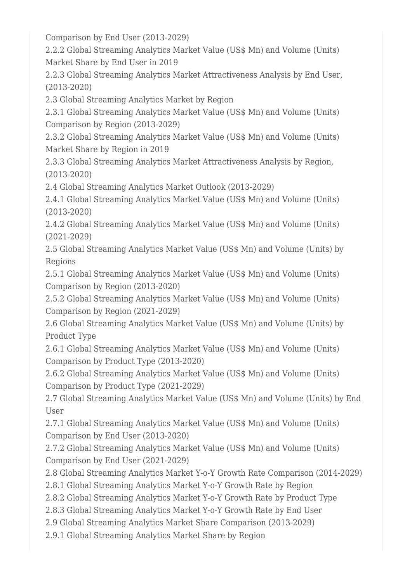Comparison by End User (2013-2029)

2.2.2 Global Streaming Analytics Market Value (US\$ Mn) and Volume (Units) Market Share by End User in 2019

2.2.3 Global Streaming Analytics Market Attractiveness Analysis by End User, (2013-2020)

2.3 Global Streaming Analytics Market by Region

2.3.1 Global Streaming Analytics Market Value (US\$ Mn) and Volume (Units) Comparison by Region (2013-2029)

2.3.2 Global Streaming Analytics Market Value (US\$ Mn) and Volume (Units) Market Share by Region in 2019

2.3.3 Global Streaming Analytics Market Attractiveness Analysis by Region, (2013-2020)

2.4 Global Streaming Analytics Market Outlook (2013-2029)

2.4.1 Global Streaming Analytics Market Value (US\$ Mn) and Volume (Units) (2013-2020)

2.4.2 Global Streaming Analytics Market Value (US\$ Mn) and Volume (Units) (2021-2029)

2.5 Global Streaming Analytics Market Value (US\$ Mn) and Volume (Units) by Regions

2.5.1 Global Streaming Analytics Market Value (US\$ Mn) and Volume (Units) Comparison by Region (2013-2020)

2.5.2 Global Streaming Analytics Market Value (US\$ Mn) and Volume (Units) Comparison by Region (2021-2029)

2.6 Global Streaming Analytics Market Value (US\$ Mn) and Volume (Units) by Product Type

2.6.1 Global Streaming Analytics Market Value (US\$ Mn) and Volume (Units) Comparison by Product Type (2013-2020)

2.6.2 Global Streaming Analytics Market Value (US\$ Mn) and Volume (Units) Comparison by Product Type (2021-2029)

2.7 Global Streaming Analytics Market Value (US\$ Mn) and Volume (Units) by End User

2.7.1 Global Streaming Analytics Market Value (US\$ Mn) and Volume (Units) Comparison by End User (2013-2020)

2.7.2 Global Streaming Analytics Market Value (US\$ Mn) and Volume (Units) Comparison by End User (2021-2029)

2.8 Global Streaming Analytics Market Y-o-Y Growth Rate Comparison (2014-2029)

2.8.1 Global Streaming Analytics Market Y-o-Y Growth Rate by Region

2.8.2 Global Streaming Analytics Market Y-o-Y Growth Rate by Product Type

2.8.3 Global Streaming Analytics Market Y-o-Y Growth Rate by End User

2.9 Global Streaming Analytics Market Share Comparison (2013-2029)

2.9.1 Global Streaming Analytics Market Share by Region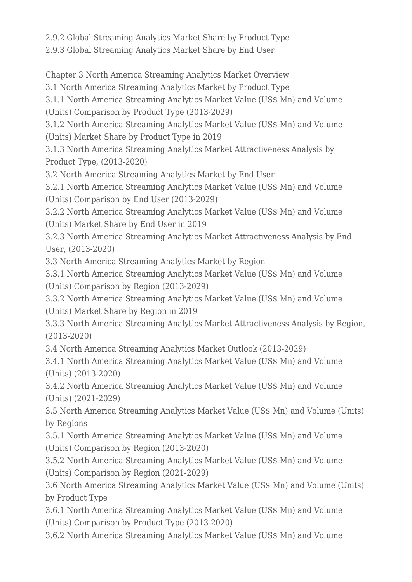2.9.2 Global Streaming Analytics Market Share by Product Type

2.9.3 Global Streaming Analytics Market Share by End User

Chapter 3 North America Streaming Analytics Market Overview

3.1 North America Streaming Analytics Market by Product Type

3.1.1 North America Streaming Analytics Market Value (US\$ Mn) and Volume (Units) Comparison by Product Type (2013-2029)

3.1.2 North America Streaming Analytics Market Value (US\$ Mn) and Volume (Units) Market Share by Product Type in 2019

3.1.3 North America Streaming Analytics Market Attractiveness Analysis by Product Type, (2013-2020)

3.2 North America Streaming Analytics Market by End User

3.2.1 North America Streaming Analytics Market Value (US\$ Mn) and Volume (Units) Comparison by End User (2013-2029)

3.2.2 North America Streaming Analytics Market Value (US\$ Mn) and Volume (Units) Market Share by End User in 2019

3.2.3 North America Streaming Analytics Market Attractiveness Analysis by End User, (2013-2020)

3.3 North America Streaming Analytics Market by Region

3.3.1 North America Streaming Analytics Market Value (US\$ Mn) and Volume (Units) Comparison by Region (2013-2029)

3.3.2 North America Streaming Analytics Market Value (US\$ Mn) and Volume (Units) Market Share by Region in 2019

3.3.3 North America Streaming Analytics Market Attractiveness Analysis by Region, (2013-2020)

3.4 North America Streaming Analytics Market Outlook (2013-2029)

3.4.1 North America Streaming Analytics Market Value (US\$ Mn) and Volume (Units) (2013-2020)

3.4.2 North America Streaming Analytics Market Value (US\$ Mn) and Volume (Units) (2021-2029)

3.5 North America Streaming Analytics Market Value (US\$ Mn) and Volume (Units) by Regions

3.5.1 North America Streaming Analytics Market Value (US\$ Mn) and Volume (Units) Comparison by Region (2013-2020)

3.5.2 North America Streaming Analytics Market Value (US\$ Mn) and Volume (Units) Comparison by Region (2021-2029)

3.6 North America Streaming Analytics Market Value (US\$ Mn) and Volume (Units) by Product Type

3.6.1 North America Streaming Analytics Market Value (US\$ Mn) and Volume (Units) Comparison by Product Type (2013-2020)

3.6.2 North America Streaming Analytics Market Value (US\$ Mn) and Volume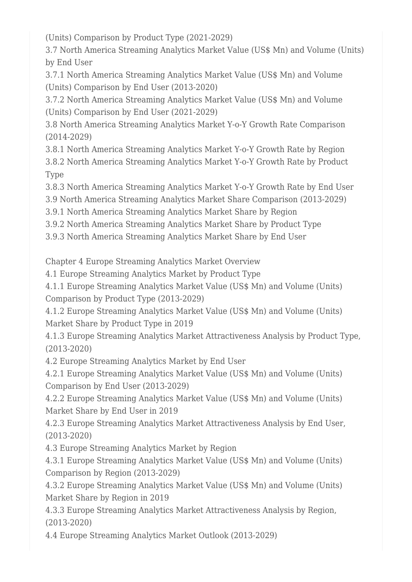(Units) Comparison by Product Type (2021-2029)

3.7 North America Streaming Analytics Market Value (US\$ Mn) and Volume (Units) by End User

3.7.1 North America Streaming Analytics Market Value (US\$ Mn) and Volume (Units) Comparison by End User (2013-2020)

3.7.2 North America Streaming Analytics Market Value (US\$ Mn) and Volume (Units) Comparison by End User (2021-2029)

3.8 North America Streaming Analytics Market Y-o-Y Growth Rate Comparison (2014-2029)

3.8.1 North America Streaming Analytics Market Y-o-Y Growth Rate by Region 3.8.2 North America Streaming Analytics Market Y-o-Y Growth Rate by Product Type

3.8.3 North America Streaming Analytics Market Y-o-Y Growth Rate by End User

3.9 North America Streaming Analytics Market Share Comparison (2013-2029)

3.9.1 North America Streaming Analytics Market Share by Region

3.9.2 North America Streaming Analytics Market Share by Product Type

3.9.3 North America Streaming Analytics Market Share by End User

Chapter 4 Europe Streaming Analytics Market Overview

4.1 Europe Streaming Analytics Market by Product Type

4.1.1 Europe Streaming Analytics Market Value (US\$ Mn) and Volume (Units) Comparison by Product Type (2013-2029)

4.1.2 Europe Streaming Analytics Market Value (US\$ Mn) and Volume (Units) Market Share by Product Type in 2019

4.1.3 Europe Streaming Analytics Market Attractiveness Analysis by Product Type, (2013-2020)

4.2 Europe Streaming Analytics Market by End User

4.2.1 Europe Streaming Analytics Market Value (US\$ Mn) and Volume (Units) Comparison by End User (2013-2029)

4.2.2 Europe Streaming Analytics Market Value (US\$ Mn) and Volume (Units) Market Share by End User in 2019

4.2.3 Europe Streaming Analytics Market Attractiveness Analysis by End User, (2013-2020)

4.3 Europe Streaming Analytics Market by Region

4.3.1 Europe Streaming Analytics Market Value (US\$ Mn) and Volume (Units) Comparison by Region (2013-2029)

4.3.2 Europe Streaming Analytics Market Value (US\$ Mn) and Volume (Units) Market Share by Region in 2019

4.3.3 Europe Streaming Analytics Market Attractiveness Analysis by Region, (2013-2020)

4.4 Europe Streaming Analytics Market Outlook (2013-2029)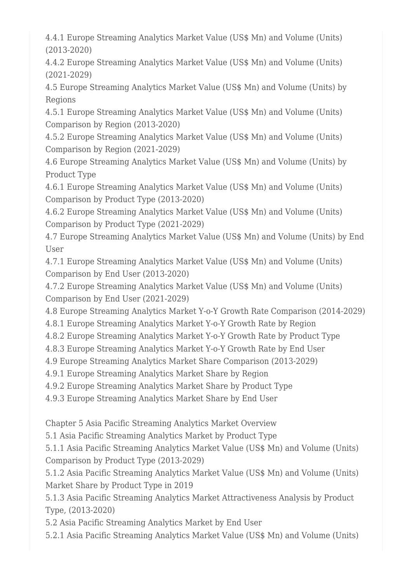4.4.1 Europe Streaming Analytics Market Value (US\$ Mn) and Volume (Units) (2013-2020)

4.4.2 Europe Streaming Analytics Market Value (US\$ Mn) and Volume (Units) (2021-2029)

4.5 Europe Streaming Analytics Market Value (US\$ Mn) and Volume (Units) by Regions

4.5.1 Europe Streaming Analytics Market Value (US\$ Mn) and Volume (Units) Comparison by Region (2013-2020)

4.5.2 Europe Streaming Analytics Market Value (US\$ Mn) and Volume (Units) Comparison by Region (2021-2029)

4.6 Europe Streaming Analytics Market Value (US\$ Mn) and Volume (Units) by Product Type

4.6.1 Europe Streaming Analytics Market Value (US\$ Mn) and Volume (Units) Comparison by Product Type (2013-2020)

4.6.2 Europe Streaming Analytics Market Value (US\$ Mn) and Volume (Units) Comparison by Product Type (2021-2029)

4.7 Europe Streaming Analytics Market Value (US\$ Mn) and Volume (Units) by End User

4.7.1 Europe Streaming Analytics Market Value (US\$ Mn) and Volume (Units) Comparison by End User (2013-2020)

4.7.2 Europe Streaming Analytics Market Value (US\$ Mn) and Volume (Units) Comparison by End User (2021-2029)

4.8 Europe Streaming Analytics Market Y-o-Y Growth Rate Comparison (2014-2029)

4.8.1 Europe Streaming Analytics Market Y-o-Y Growth Rate by Region

4.8.2 Europe Streaming Analytics Market Y-o-Y Growth Rate by Product Type

4.8.3 Europe Streaming Analytics Market Y-o-Y Growth Rate by End User

4.9 Europe Streaming Analytics Market Share Comparison (2013-2029)

4.9.1 Europe Streaming Analytics Market Share by Region

4.9.2 Europe Streaming Analytics Market Share by Product Type

4.9.3 Europe Streaming Analytics Market Share by End User

Chapter 5 Asia Pacific Streaming Analytics Market Overview

5.1 Asia Pacific Streaming Analytics Market by Product Type

5.1.1 Asia Pacific Streaming Analytics Market Value (US\$ Mn) and Volume (Units) Comparison by Product Type (2013-2029)

5.1.2 Asia Pacific Streaming Analytics Market Value (US\$ Mn) and Volume (Units) Market Share by Product Type in 2019

5.1.3 Asia Pacific Streaming Analytics Market Attractiveness Analysis by Product Type, (2013-2020)

5.2 Asia Pacific Streaming Analytics Market by End User

5.2.1 Asia Pacific Streaming Analytics Market Value (US\$ Mn) and Volume (Units)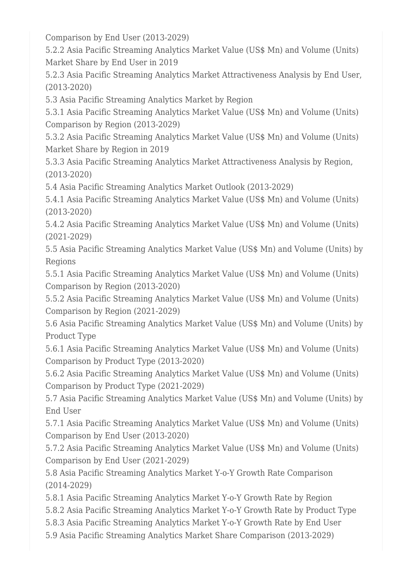Comparison by End User (2013-2029)

5.2.2 Asia Pacific Streaming Analytics Market Value (US\$ Mn) and Volume (Units) Market Share by End User in 2019

5.2.3 Asia Pacific Streaming Analytics Market Attractiveness Analysis by End User, (2013-2020)

5.3 Asia Pacific Streaming Analytics Market by Region

5.3.1 Asia Pacific Streaming Analytics Market Value (US\$ Mn) and Volume (Units) Comparison by Region (2013-2029)

5.3.2 Asia Pacific Streaming Analytics Market Value (US\$ Mn) and Volume (Units) Market Share by Region in 2019

5.3.3 Asia Pacific Streaming Analytics Market Attractiveness Analysis by Region, (2013-2020)

5.4 Asia Pacific Streaming Analytics Market Outlook (2013-2029)

5.4.1 Asia Pacific Streaming Analytics Market Value (US\$ Mn) and Volume (Units) (2013-2020)

5.4.2 Asia Pacific Streaming Analytics Market Value (US\$ Mn) and Volume (Units) (2021-2029)

5.5 Asia Pacific Streaming Analytics Market Value (US\$ Mn) and Volume (Units) by Regions

5.5.1 Asia Pacific Streaming Analytics Market Value (US\$ Mn) and Volume (Units) Comparison by Region (2013-2020)

5.5.2 Asia Pacific Streaming Analytics Market Value (US\$ Mn) and Volume (Units) Comparison by Region (2021-2029)

5.6 Asia Pacific Streaming Analytics Market Value (US\$ Mn) and Volume (Units) by Product Type

5.6.1 Asia Pacific Streaming Analytics Market Value (US\$ Mn) and Volume (Units) Comparison by Product Type (2013-2020)

5.6.2 Asia Pacific Streaming Analytics Market Value (US\$ Mn) and Volume (Units) Comparison by Product Type (2021-2029)

5.7 Asia Pacific Streaming Analytics Market Value (US\$ Mn) and Volume (Units) by End User

5.7.1 Asia Pacific Streaming Analytics Market Value (US\$ Mn) and Volume (Units) Comparison by End User (2013-2020)

5.7.2 Asia Pacific Streaming Analytics Market Value (US\$ Mn) and Volume (Units) Comparison by End User (2021-2029)

5.8 Asia Pacific Streaming Analytics Market Y-o-Y Growth Rate Comparison (2014-2029)

5.8.1 Asia Pacific Streaming Analytics Market Y-o-Y Growth Rate by Region

5.8.2 Asia Pacific Streaming Analytics Market Y-o-Y Growth Rate by Product Type

5.8.3 Asia Pacific Streaming Analytics Market Y-o-Y Growth Rate by End User

5.9 Asia Pacific Streaming Analytics Market Share Comparison (2013-2029)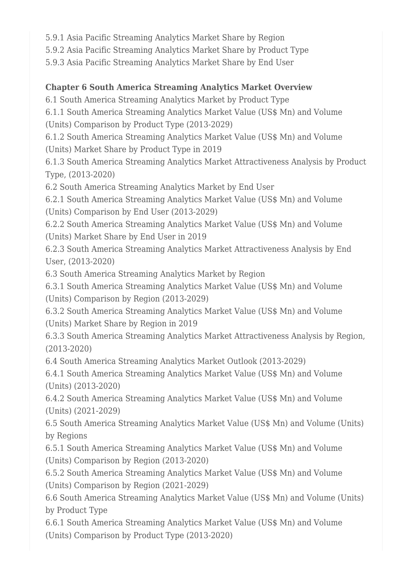5.9.1 Asia Pacific Streaming Analytics Market Share by Region

5.9.2 Asia Pacific Streaming Analytics Market Share by Product Type

5.9.3 Asia Pacific Streaming Analytics Market Share by End User

## **Chapter 6 South America Streaming Analytics Market Overview**

6.1 South America Streaming Analytics Market by Product Type 6.1.1 South America Streaming Analytics Market Value (US\$ Mn) and Volume (Units) Comparison by Product Type (2013-2029) 6.1.2 South America Streaming Analytics Market Value (US\$ Mn) and Volume (Units) Market Share by Product Type in 2019 6.1.3 South America Streaming Analytics Market Attractiveness Analysis by Product Type, (2013-2020) 6.2 South America Streaming Analytics Market by End User 6.2.1 South America Streaming Analytics Market Value (US\$ Mn) and Volume (Units) Comparison by End User (2013-2029) 6.2.2 South America Streaming Analytics Market Value (US\$ Mn) and Volume (Units) Market Share by End User in 2019 6.2.3 South America Streaming Analytics Market Attractiveness Analysis by End User, (2013-2020) 6.3 South America Streaming Analytics Market by Region 6.3.1 South America Streaming Analytics Market Value (US\$ Mn) and Volume (Units) Comparison by Region (2013-2029) 6.3.2 South America Streaming Analytics Market Value (US\$ Mn) and Volume (Units) Market Share by Region in 2019 6.3.3 South America Streaming Analytics Market Attractiveness Analysis by Region, (2013-2020) 6.4 South America Streaming Analytics Market Outlook (2013-2029) 6.4.1 South America Streaming Analytics Market Value (US\$ Mn) and Volume (Units) (2013-2020) 6.4.2 South America Streaming Analytics Market Value (US\$ Mn) and Volume (Units) (2021-2029) 6.5 South America Streaming Analytics Market Value (US\$ Mn) and Volume (Units) by Regions 6.5.1 South America Streaming Analytics Market Value (US\$ Mn) and Volume (Units) Comparison by Region (2013-2020) 6.5.2 South America Streaming Analytics Market Value (US\$ Mn) and Volume (Units) Comparison by Region (2021-2029) 6.6 South America Streaming Analytics Market Value (US\$ Mn) and Volume (Units) by Product Type

6.6.1 South America Streaming Analytics Market Value (US\$ Mn) and Volume (Units) Comparison by Product Type (2013-2020)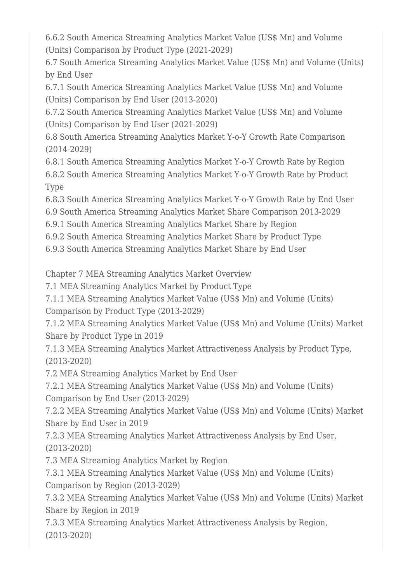6.6.2 South America Streaming Analytics Market Value (US\$ Mn) and Volume (Units) Comparison by Product Type (2021-2029)

6.7 South America Streaming Analytics Market Value (US\$ Mn) and Volume (Units) by End User

6.7.1 South America Streaming Analytics Market Value (US\$ Mn) and Volume (Units) Comparison by End User (2013-2020)

6.7.2 South America Streaming Analytics Market Value (US\$ Mn) and Volume (Units) Comparison by End User (2021-2029)

6.8 South America Streaming Analytics Market Y-o-Y Growth Rate Comparison (2014-2029)

6.8.1 South America Streaming Analytics Market Y-o-Y Growth Rate by Region 6.8.2 South America Streaming Analytics Market Y-o-Y Growth Rate by Product Type

6.8.3 South America Streaming Analytics Market Y-o-Y Growth Rate by End User

6.9 South America Streaming Analytics Market Share Comparison 2013-2029

6.9.1 South America Streaming Analytics Market Share by Region

6.9.2 South America Streaming Analytics Market Share by Product Type

6.9.3 South America Streaming Analytics Market Share by End User

Chapter 7 MEA Streaming Analytics Market Overview

7.1 MEA Streaming Analytics Market by Product Type

7.1.1 MEA Streaming Analytics Market Value (US\$ Mn) and Volume (Units) Comparison by Product Type (2013-2029)

7.1.2 MEA Streaming Analytics Market Value (US\$ Mn) and Volume (Units) Market Share by Product Type in 2019

7.1.3 MEA Streaming Analytics Market Attractiveness Analysis by Product Type, (2013-2020)

7.2 MEA Streaming Analytics Market by End User

7.2.1 MEA Streaming Analytics Market Value (US\$ Mn) and Volume (Units) Comparison by End User (2013-2029)

7.2.2 MEA Streaming Analytics Market Value (US\$ Mn) and Volume (Units) Market Share by End User in 2019

7.2.3 MEA Streaming Analytics Market Attractiveness Analysis by End User, (2013-2020)

7.3 MEA Streaming Analytics Market by Region

7.3.1 MEA Streaming Analytics Market Value (US\$ Mn) and Volume (Units) Comparison by Region (2013-2029)

7.3.2 MEA Streaming Analytics Market Value (US\$ Mn) and Volume (Units) Market Share by Region in 2019

7.3.3 MEA Streaming Analytics Market Attractiveness Analysis by Region, (2013-2020)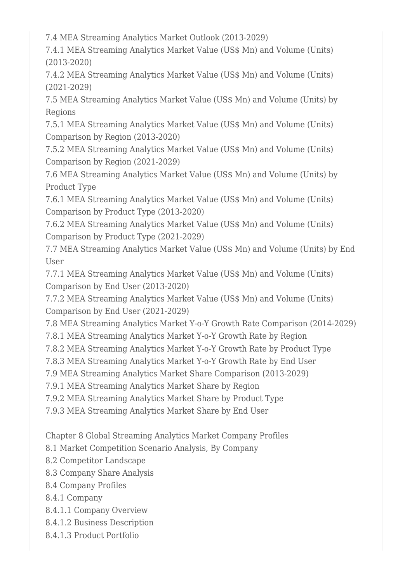7.4 MEA Streaming Analytics Market Outlook (2013-2029)

7.4.1 MEA Streaming Analytics Market Value (US\$ Mn) and Volume (Units) (2013-2020)

7.4.2 MEA Streaming Analytics Market Value (US\$ Mn) and Volume (Units) (2021-2029)

7.5 MEA Streaming Analytics Market Value (US\$ Mn) and Volume (Units) by Regions

7.5.1 MEA Streaming Analytics Market Value (US\$ Mn) and Volume (Units) Comparison by Region (2013-2020)

7.5.2 MEA Streaming Analytics Market Value (US\$ Mn) and Volume (Units) Comparison by Region (2021-2029)

7.6 MEA Streaming Analytics Market Value (US\$ Mn) and Volume (Units) by Product Type

7.6.1 MEA Streaming Analytics Market Value (US\$ Mn) and Volume (Units) Comparison by Product Type (2013-2020)

7.6.2 MEA Streaming Analytics Market Value (US\$ Mn) and Volume (Units) Comparison by Product Type (2021-2029)

7.7 MEA Streaming Analytics Market Value (US\$ Mn) and Volume (Units) by End User

7.7.1 MEA Streaming Analytics Market Value (US\$ Mn) and Volume (Units) Comparison by End User (2013-2020)

7.7.2 MEA Streaming Analytics Market Value (US\$ Mn) and Volume (Units) Comparison by End User (2021-2029)

7.8 MEA Streaming Analytics Market Y-o-Y Growth Rate Comparison (2014-2029)

7.8.1 MEA Streaming Analytics Market Y-o-Y Growth Rate by Region

7.8.2 MEA Streaming Analytics Market Y-o-Y Growth Rate by Product Type

7.8.3 MEA Streaming Analytics Market Y-o-Y Growth Rate by End User

7.9 MEA Streaming Analytics Market Share Comparison (2013-2029)

7.9.1 MEA Streaming Analytics Market Share by Region

7.9.2 MEA Streaming Analytics Market Share by Product Type

7.9.3 MEA Streaming Analytics Market Share by End User

Chapter 8 Global Streaming Analytics Market Company Profiles

8.1 Market Competition Scenario Analysis, By Company

8.2 Competitor Landscape

8.3 Company Share Analysis

8.4 Company Profiles

8.4.1 Company

8.4.1.1 Company Overview

8.4.1.2 Business Description

8.4.1.3 Product Portfolio